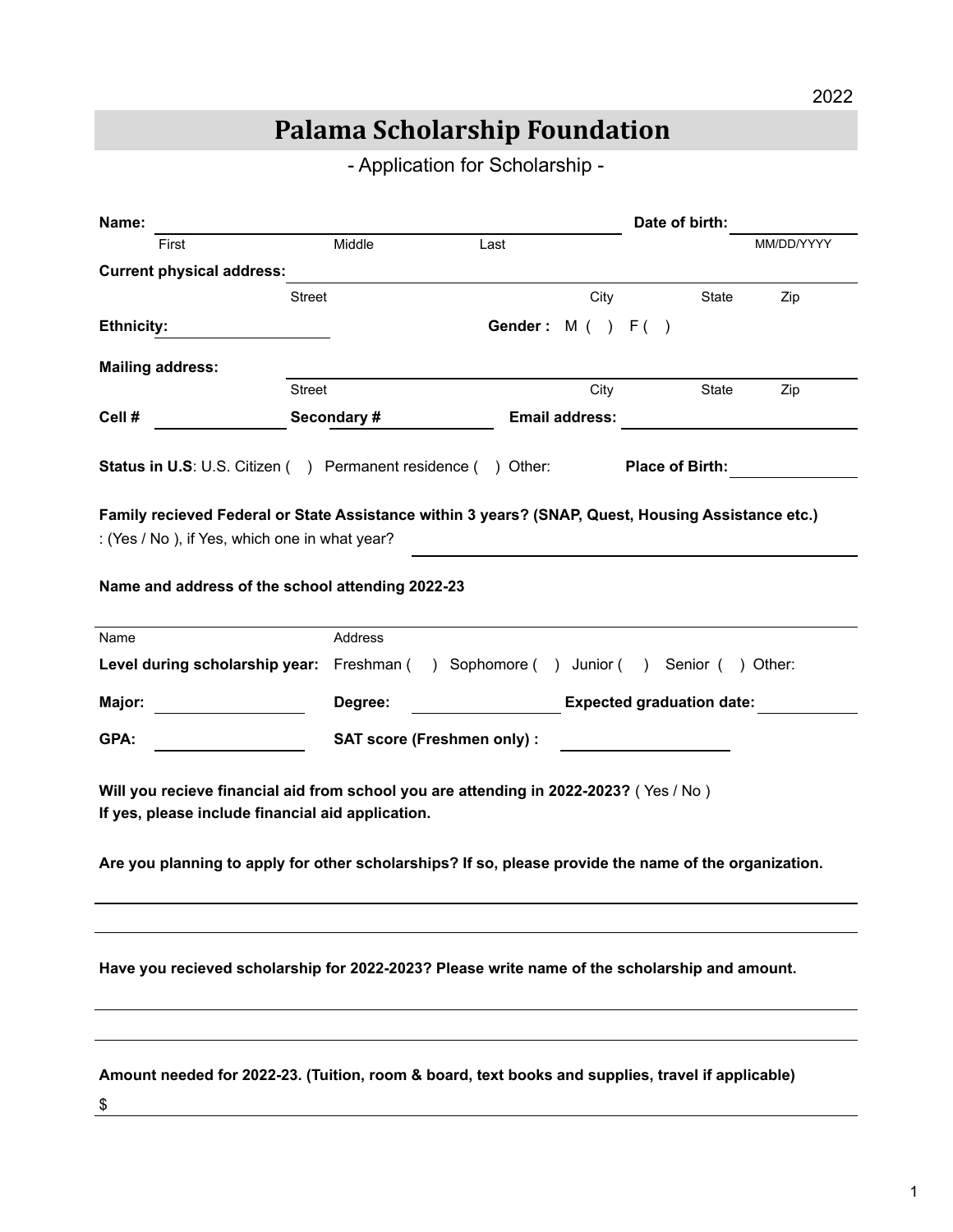## **Palama Scholarship Foundation**

- Application for Scholarship -

| Name:                                                                                                                                                                                                                                               |                                                                                    |      | Date of birth:                   |              |            |
|-----------------------------------------------------------------------------------------------------------------------------------------------------------------------------------------------------------------------------------------------------|------------------------------------------------------------------------------------|------|----------------------------------|--------------|------------|
| First                                                                                                                                                                                                                                               | Middle                                                                             | Last |                                  |              | MM/DD/YYYY |
| <b>Current physical address:</b>                                                                                                                                                                                                                    |                                                                                    |      |                                  |              |            |
|                                                                                                                                                                                                                                                     | Street                                                                             |      | City                             | <b>State</b> | Zip        |
| <b>Ethnicity:</b>                                                                                                                                                                                                                                   |                                                                                    |      | Gender: $M( ) F( )$              |              |            |
| <b>Mailing address:</b>                                                                                                                                                                                                                             |                                                                                    |      |                                  |              |            |
|                                                                                                                                                                                                                                                     | Street                                                                             |      | City                             | <b>State</b> | Zip        |
| Cell #                                                                                                                                                                                                                                              | Secondary #                                                                        |      | <b>Email address:</b>            |              |            |
| <b>Status in U.S. U.S. Citizen () Permanent residence () Other:</b><br><b>Place of Birth:</b><br>Family recieved Federal or State Assistance within 3 years? (SNAP, Quest, Housing Assistance etc.)                                                 |                                                                                    |      |                                  |              |            |
| : (Yes / No), if Yes, which one in what year?                                                                                                                                                                                                       |                                                                                    |      |                                  |              |            |
| Name and address of the school attending 2022-23                                                                                                                                                                                                    |                                                                                    |      |                                  |              |            |
| Name                                                                                                                                                                                                                                                | Address                                                                            |      |                                  |              |            |
|                                                                                                                                                                                                                                                     | Level during scholarship year: Freshman () Sophomore () Junior () Senior () Other: |      |                                  |              |            |
| Major:                                                                                                                                                                                                                                              | Degree:                                                                            |      | <b>Expected graduation date:</b> |              |            |
| GPA:                                                                                                                                                                                                                                                | <b>SAT score (Freshmen only):</b>                                                  |      |                                  |              |            |
| Will you recieve financial aid from school you are attending in 2022-2023? (Yes / No)<br>If yes, please include financial aid application.<br>Are you planning to apply for other scholarships? If so, please provide the name of the organization. |                                                                                    |      |                                  |              |            |
|                                                                                                                                                                                                                                                     |                                                                                    |      |                                  |              |            |
| Have you recieved scholarship for 2022-2023? Please write name of the scholarship and amount.                                                                                                                                                       |                                                                                    |      |                                  |              |            |
|                                                                                                                                                                                                                                                     |                                                                                    |      |                                  |              |            |
| Amount needed for 2022-23. (Tuition, room & board, text books and supplies, travel if applicable)<br>\$                                                                                                                                             |                                                                                    |      |                                  |              |            |